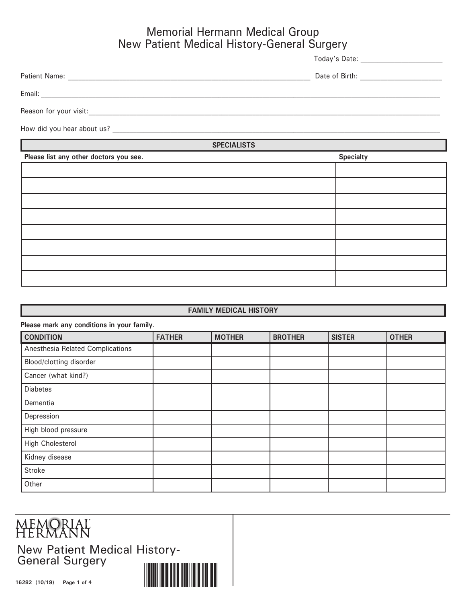### Memorial Hermann Medical Group New Patient Medical History-General Surgery

Today's Date: \_\_\_\_\_\_\_\_\_\_\_\_\_\_\_\_\_\_\_\_\_\_\_\_

Patient Name: \_\_\_\_\_\_\_\_\_\_\_\_\_\_\_\_\_\_\_\_\_\_\_\_\_\_\_\_\_\_\_\_\_\_\_\_\_\_\_\_\_\_\_\_\_\_\_\_\_\_\_\_\_\_\_\_\_\_\_\_\_\_\_\_\_\_\_\_\_\_\_ Date of Birth: \_\_\_\_\_\_\_\_\_\_\_\_\_\_\_\_\_\_\_\_\_\_\_\_ Email: \_\_\_\_\_\_\_\_\_\_\_\_\_\_\_\_\_\_\_\_\_\_\_\_\_\_\_\_\_\_\_\_\_\_\_\_\_\_\_\_\_\_\_\_\_\_\_\_\_\_\_\_\_\_\_\_\_\_\_\_\_\_\_\_\_\_\_\_\_\_\_\_\_\_\_\_\_\_\_\_\_\_\_\_\_\_\_\_\_\_\_\_\_\_\_\_\_\_\_\_\_\_\_\_\_\_\_\_\_\_\_\_\_\_\_\_\_ Reason for your visit:\_\_\_\_\_\_\_\_\_\_\_\_\_\_\_\_\_\_\_\_\_\_\_\_\_\_\_\_\_\_\_\_\_\_\_\_\_\_\_\_\_\_\_\_\_\_\_\_\_\_\_\_\_\_\_\_\_\_\_\_\_\_\_\_\_\_\_\_\_\_\_\_\_\_\_\_\_\_\_\_\_\_\_\_\_\_\_\_\_\_\_\_\_\_\_\_\_\_\_\_\_\_\_

How did you hear about us?

**SPECIALISTS**

| Please list any other doctors you see. | <b>Specialty</b> |
|----------------------------------------|------------------|
|                                        |                  |
|                                        |                  |
|                                        |                  |
|                                        |                  |
|                                        |                  |
|                                        |                  |
|                                        |                  |
|                                        |                  |

#### **FAMILY MEDICAL HISTORY**

| Please mark any conditions in your family. |               |               |                |               |              |  |
|--------------------------------------------|---------------|---------------|----------------|---------------|--------------|--|
| <b>CONDITION</b>                           | <b>FATHER</b> | <b>MOTHER</b> | <b>BROTHER</b> | <b>SISTER</b> | <b>OTHER</b> |  |
| Anesthesia Related Complications           |               |               |                |               |              |  |
| Blood/clotting disorder                    |               |               |                |               |              |  |
| Cancer (what kind?)                        |               |               |                |               |              |  |
| <b>Diabetes</b>                            |               |               |                |               |              |  |
| Dementia                                   |               |               |                |               |              |  |
| Depression                                 |               |               |                |               |              |  |
| High blood pressure                        |               |               |                |               |              |  |
| <b>High Cholesterol</b>                    |               |               |                |               |              |  |
| Kidney disease                             |               |               |                |               |              |  |
| Stroke                                     |               |               |                |               |              |  |
| Other                                      |               |               |                |               |              |  |

## MEMORIAL<br>HERMANN

New Patient Medical History-General Surgery

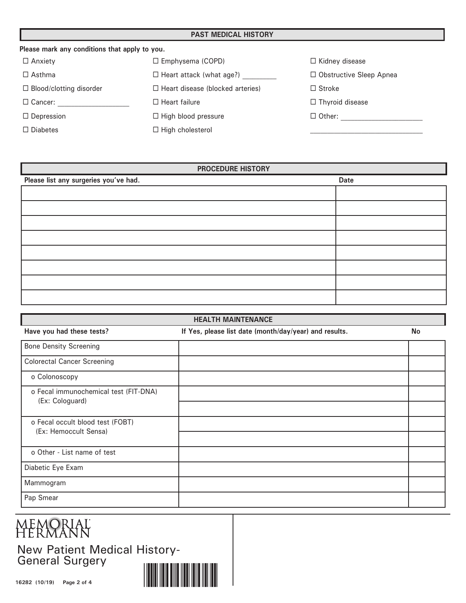#### **PAST MEDICAL HISTORY**

| Please mark any conditions that apply to you. |                                         |                                |
|-----------------------------------------------|-----------------------------------------|--------------------------------|
| $\Box$ Anxiety                                | $\Box$ Emphysema (COPD)                 | $\Box$ Kidney disease          |
| $\Box$ Asthma                                 | $\Box$ Heart attack (what age?)         | $\Box$ Obstructive Sleep Apnea |
| $\Box$ Blood/clotting disorder                | $\Box$ Heart disease (blocked arteries) | $\Box$ Stroke                  |
| $\Box$ Cancer:                                | $\Box$ Heart failure                    | $\Box$ Thyroid disease         |
| $\Box$ Depression                             | $\Box$ High blood pressure              | $\Box$ Other:                  |
| $\Box$ Diabetes                               | $\Box$ High cholesterol                 |                                |

| <b>PROCEDURE HISTORY</b>              |      |  |  |  |
|---------------------------------------|------|--|--|--|
| Please list any surgeries you've had. | Date |  |  |  |
|                                       |      |  |  |  |
|                                       |      |  |  |  |
|                                       |      |  |  |  |
|                                       |      |  |  |  |
|                                       |      |  |  |  |
|                                       |      |  |  |  |
|                                       |      |  |  |  |
|                                       |      |  |  |  |

| <b>HEALTH MAINTENANCE</b>             |                                                        |           |  |  |
|---------------------------------------|--------------------------------------------------------|-----------|--|--|
| Have you had these tests?             | If Yes, please list date (month/day/year) and results. | <b>No</b> |  |  |
| <b>Bone Density Screening</b>         |                                                        |           |  |  |
| <b>Colorectal Cancer Screening</b>    |                                                        |           |  |  |
| o Colonoscopy                         |                                                        |           |  |  |
| o Fecal immunochemical test (FIT-DNA) |                                                        |           |  |  |
| (Ex: Cologuard)                       |                                                        |           |  |  |
| o Fecal occult blood test (FOBT)      |                                                        |           |  |  |
| (Ex: Hemoccult Sensa)                 |                                                        |           |  |  |
| o Other - List name of test           |                                                        |           |  |  |
| Diabetic Eye Exam                     |                                                        |           |  |  |
| Mammogram                             |                                                        |           |  |  |
| Pap Smear                             |                                                        |           |  |  |

# **MEMORIAL**<br>HERMANN

New Patient Medical History-General Surgery

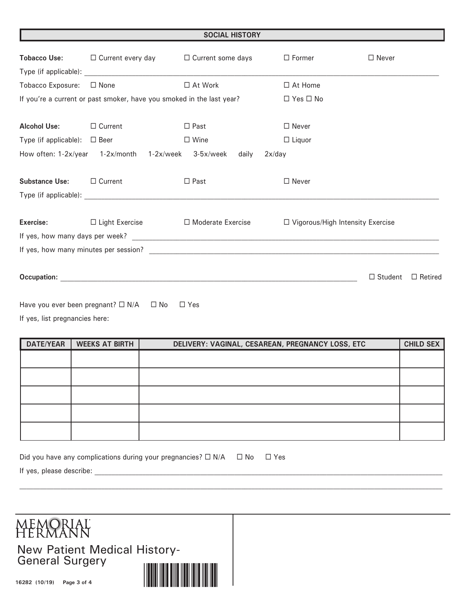| <b>SOCIAL HISTORY</b>             |                                                                       |                                                                                                                                                                                                                                |                                    |                                  |
|-----------------------------------|-----------------------------------------------------------------------|--------------------------------------------------------------------------------------------------------------------------------------------------------------------------------------------------------------------------------|------------------------------------|----------------------------------|
|                                   | <b>Tobacco Use:</b> $\Box$ Current every day $\Box$ Current some days |                                                                                                                                                                                                                                | $\Box$ Former                      | $\Box$ Never                     |
| Tobacco Exposure: □ None          |                                                                       | $\Box$ At Work                                                                                                                                                                                                                 | $\Box$ At Home                     |                                  |
|                                   | If you're a current or past smoker, have you smoked in the last year? |                                                                                                                                                                                                                                | $\Box$ Yes $\Box$ No               |                                  |
| <b>Alcohol Use:</b>               | $\Box$ Current                                                        | $\Box$ Past                                                                                                                                                                                                                    | $\Box$ Never                       |                                  |
| Type (if applicable): $\Box$ Beer |                                                                       | $\Box$ Wine                                                                                                                                                                                                                    | $\Box$ Liquor                      |                                  |
|                                   | How often: 1-2x/year 1-2x/month 1-2x/week 3-5x/week daily             | $2x$ /day                                                                                                                                                                                                                      |                                    |                                  |
| Substance Use: □ Current          |                                                                       | $\Box$ Past                                                                                                                                                                                                                    | $\Box$ Never                       |                                  |
|                                   |                                                                       |                                                                                                                                                                                                                                |                                    |                                  |
| Exercise: The Search              |                                                                       | $\Box$ Light Exercise $\Box$ Moderate Exercise                                                                                                                                                                                 | □ Vigorous/High Intensity Exercise |                                  |
|                                   |                                                                       | If yes, how many days per week?                                                                                                                                                                                                |                                    |                                  |
|                                   |                                                                       |                                                                                                                                                                                                                                |                                    |                                  |
|                                   |                                                                       | Occupation: New York State State State State State State State State State State State State State State State State State State State State State State State State State State State State State State State State State Sta |                                    | $\Box$ Student<br>$\Box$ Retired |
|                                   | Have you ever been pregnant? $\square$ N/A $\square$ No               | $\Box$ Yes                                                                                                                                                                                                                     |                                    |                                  |

If yes, list pregnancies here:

| <b>DATE/YEAR</b> | <b>WEEKS AT BIRTH</b> | DELIVERY: VAGINAL, CESAREAN, PREGNANCY LOSS, ETC | <b>CHILD SEX</b> |
|------------------|-----------------------|--------------------------------------------------|------------------|
|                  |                       |                                                  |                  |
|                  |                       |                                                  |                  |
|                  |                       |                                                  |                  |
|                  |                       |                                                  |                  |
|                  |                       |                                                  |                  |

| Did you have any complications during your pregnancies? $\Box$ N/A $\Box$ No $\Box$ Yes |  |
|-----------------------------------------------------------------------------------------|--|
| If yes, please describe:                                                                |  |



 $\mathcal{L}_\text{max} = \mathcal{L}_\text{max} = \mathcal{L}_\text{max} = \mathcal{L}_\text{max} = \mathcal{L}_\text{max} = \mathcal{L}_\text{max} = \mathcal{L}_\text{max} = \mathcal{L}_\text{max} = \mathcal{L}_\text{max} = \mathcal{L}_\text{max} = \mathcal{L}_\text{max} = \mathcal{L}_\text{max} = \mathcal{L}_\text{max} = \mathcal{L}_\text{max} = \mathcal{L}_\text{max} = \mathcal{L}_\text{max} = \mathcal{L}_\text{max} = \mathcal{L}_\text{max} = \mathcal{$